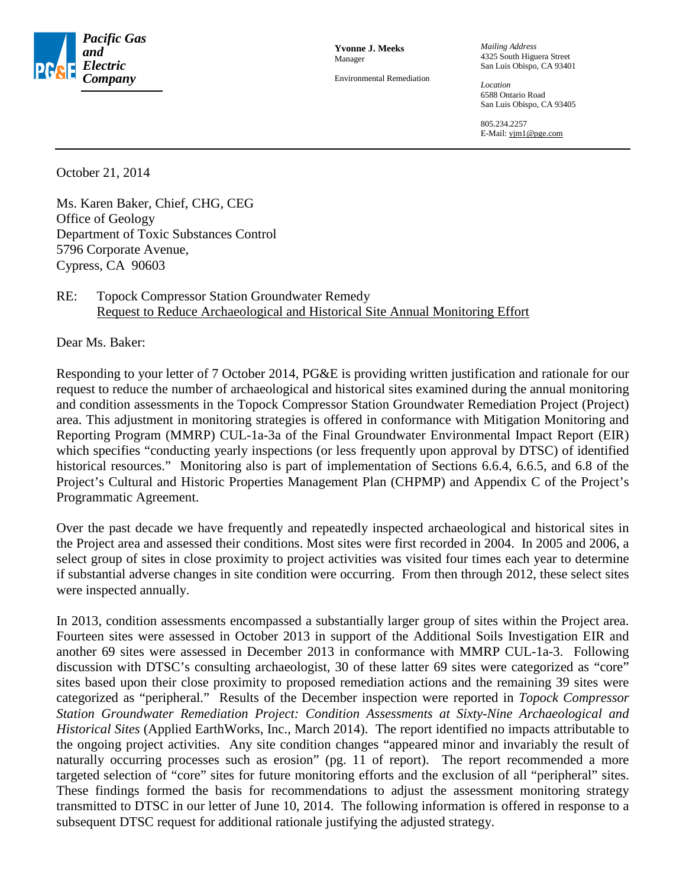

**Yvonne J. Meeks** Manager

Environmental Remediation

*Mailing Address* 4325 South Higuera Street San Luis Obispo, CA 93401

*Location* 6588 Ontario Road San Luis Obispo, CA 93405

805.234.2257 E-Mail: yjm1@pge.com

October 21, 2014

Ms. Karen Baker, Chief, CHG, CEG Office of Geology Department of Toxic Substances Control 5796 Corporate Avenue, Cypress, CA 90603

## RE: Topock Compressor Station Groundwater Remedy Request to Reduce Archaeological and Historical Site Annual Monitoring Effort

Dear Ms. Baker:

Responding to your letter of 7 October 2014, PG&E is providing written justification and rationale for our request to reduce the number of archaeological and historical sites examined during the annual monitoring and condition assessments in the Topock Compressor Station Groundwater Remediation Project (Project) area. This adjustment in monitoring strategies is offered in conformance with Mitigation Monitoring and Reporting Program (MMRP) CUL-1a-3a of the Final Groundwater Environmental Impact Report (EIR) which specifies "conducting yearly inspections (or less frequently upon approval by DTSC) of identified historical resources." Monitoring also is part of implementation of Sections 6.6.4, 6.6.5, and 6.8 of the Project's Cultural and Historic Properties Management Plan (CHPMP) and Appendix C of the Project's Programmatic Agreement.

Over the past decade we have frequently and repeatedly inspected archaeological and historical sites in the Project area and assessed their conditions. Most sites were first recorded in 2004. In 2005 and 2006, a select group of sites in close proximity to project activities was visited four times each year to determine if substantial adverse changes in site condition were occurring. From then through 2012, these select sites were inspected annually.

In 2013, condition assessments encompassed a substantially larger group of sites within the Project area. Fourteen sites were assessed in October 2013 in support of the Additional Soils Investigation EIR and another 69 sites were assessed in December 2013 in conformance with MMRP CUL-1a-3. Following discussion with DTSC's consulting archaeologist, 30 of these latter 69 sites were categorized as "core" sites based upon their close proximity to proposed remediation actions and the remaining 39 sites were categorized as "peripheral." Results of the December inspection were reported in *Topock Compressor Station Groundwater Remediation Project: Condition Assessments at Sixty-Nine Archaeological and Historical Sites* (Applied EarthWorks, Inc., March 2014). The report identified no impacts attributable to the ongoing project activities. Any site condition changes "appeared minor and invariably the result of naturally occurring processes such as erosion" (pg. 11 of report). The report recommended a more targeted selection of "core" sites for future monitoring efforts and the exclusion of all "peripheral" sites. These findings formed the basis for recommendations to adjust the assessment monitoring strategy transmitted to DTSC in our letter of June 10, 2014. The following information is offered in response to a subsequent DTSC request for additional rationale justifying the adjusted strategy.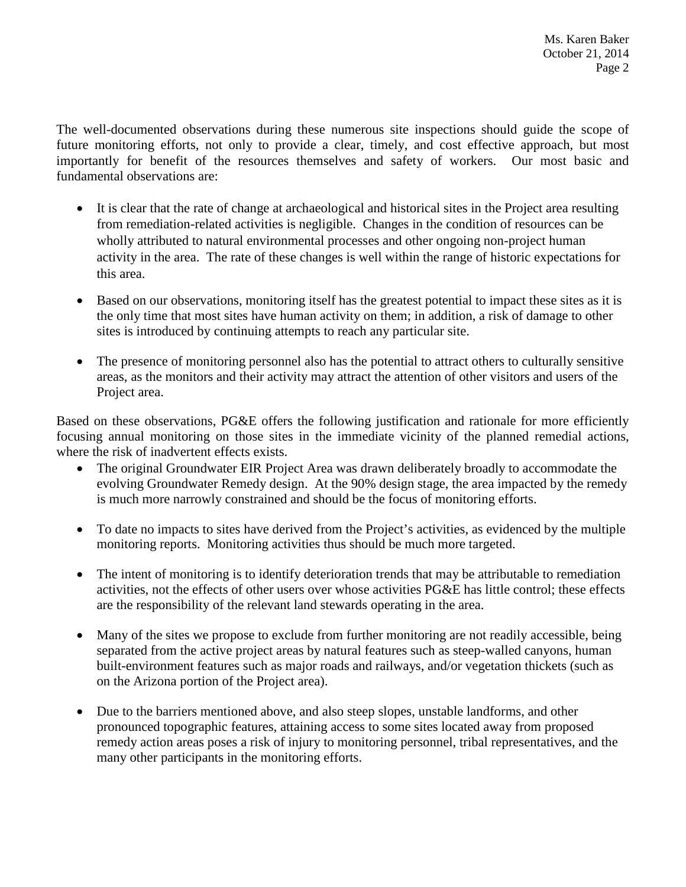The well-documented observations during these numerous site inspections should guide the scope of future monitoring efforts, not only to provide a clear, timely, and cost effective approach, but most importantly for benefit of the resources themselves and safety of workers. Our most basic and fundamental observations are:

- It is clear that the rate of change at archaeological and historical sites in the Project area resulting from remediation-related activities is negligible. Changes in the condition of resources can be wholly attributed to natural environmental processes and other ongoing non-project human activity in the area. The rate of these changes is well within the range of historic expectations for this area.
- Based on our observations, monitoring itself has the greatest potential to impact these sites as it is the only time that most sites have human activity on them; in addition, a risk of damage to other sites is introduced by continuing attempts to reach any particular site.
- The presence of monitoring personnel also has the potential to attract others to culturally sensitive areas, as the monitors and their activity may attract the attention of other visitors and users of the Project area.

Based on these observations, PG&E offers the following justification and rationale for more efficiently focusing annual monitoring on those sites in the immediate vicinity of the planned remedial actions, where the risk of inadvertent effects exists.

- The original Groundwater EIR Project Area was drawn deliberately broadly to accommodate the evolving Groundwater Remedy design. At the 90% design stage, the area impacted by the remedy is much more narrowly constrained and should be the focus of monitoring efforts.
- To date no impacts to sites have derived from the Project's activities, as evidenced by the multiple monitoring reports. Monitoring activities thus should be much more targeted.
- The intent of monitoring is to identify deterioration trends that may be attributable to remediation activities, not the effects of other users over whose activities PG&E has little control; these effects are the responsibility of the relevant land stewards operating in the area.
- Many of the sites we propose to exclude from further monitoring are not readily accessible, being separated from the active project areas by natural features such as steep-walled canyons, human built-environment features such as major roads and railways, and/or vegetation thickets (such as on the Arizona portion of the Project area).
- Due to the barriers mentioned above, and also steep slopes, unstable landforms, and other pronounced topographic features, attaining access to some sites located away from proposed remedy action areas poses a risk of injury to monitoring personnel, tribal representatives, and the many other participants in the monitoring efforts.